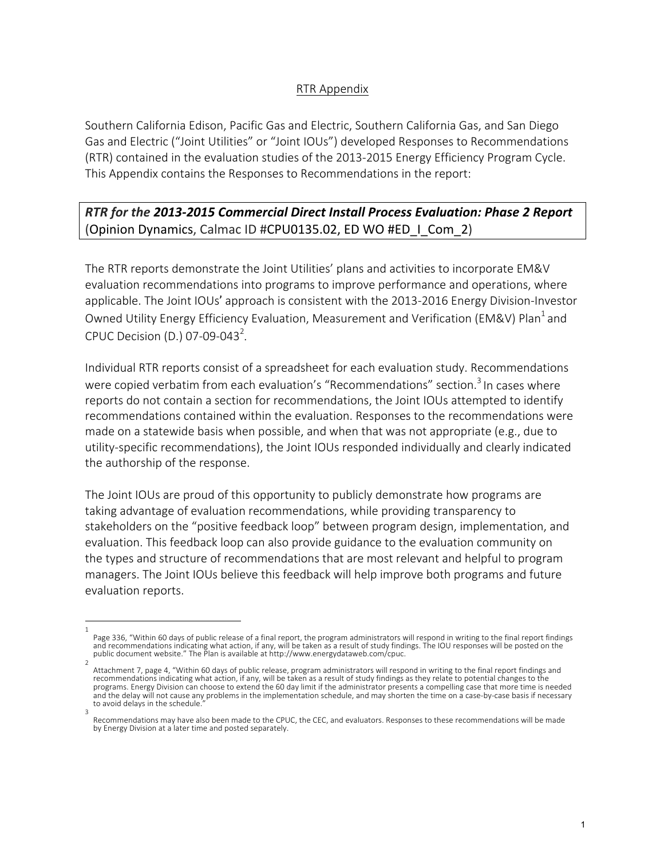## RTR Appendix

Southern California Edison, Pacific Gas and Electric, Southern California Gas, and San Diego Gas and Electric ("Joint Utilities" or "Joint IOUs") developed Responses to Recommendations (RTR) contained in the evaluation studies of the 2013-2015 Energy Efficiency Program Cycle. This Appendix contains the Responses to Recommendations in the report:

## **RTR** for the 2013-2015 Commercial Direct Install Process Evaluation: Phase 2 Report (Opinion Dynamics, Calmac ID #CPU0135.02, ED WO #ED\_I\_Com\_2)

The RTR reports demonstrate the Joint Utilities' plans and activities to incorporate EM&V evaluation recommendations into programs to improve performance and operations, where applicable. The Joint IOUs' approach is consistent with the 2013-2016 Energy Division-Investor Owned Utility Energy Efficiency Evaluation, Measurement and Verification (EM&V) Plan<sup>1</sup> and CPUC Decision (D.) 07-09-043<sup>2</sup>.

Individual RTR reports consist of a spreadsheet for each evaluation study. Recommendations were copied verbatim from each evaluation's "Recommendations" section.<sup>3</sup> In cases where reports do not contain a section for recommendations, the Joint IOUs attempted to identify recommendations contained within the evaluation. Responses to the recommendations were made on a statewide basis when possible, and when that was not appropriate  $(e.g.,$  due to utility-specific recommendations), the Joint IOUs responded individually and clearly indicated the authorship of the response.

The Joint IOUs are proud of this opportunity to publicly demonstrate how programs are taking advantage of evaluation recommendations, while providing transparency to stakeholders on the "positive feedback loop" between program design, implementation, and evaluation. This feedback loop can also provide guidance to the evaluation community on the types and structure of recommendations that are most relevant and helpful to program managers. The Joint IOUs believe this feedback will help improve both programs and future evaluation reports.

<sup>1</sup>  Page 336, "Within 60 days of public release of a final report, the program administrators will respond in writing to the final report findings and recommendations indicating what action, if any, will be taken as a result of study findings. The IOU responses will be posted on the public document website." The Plan is available at http://www.energydataweb.com/cpuc.

<sup>2</sup>  Attachment 7, page 4, "Within 60 days of public release, program administrators will respond in writing to the final report findings and recommendations indicating what action, if any, will be taken as a result of study findings as they relate to potential changes to the programs. Energy Division can choose to extend the 60 day limit if the administrator presents a compelling case that more time is needed and the delay will not cause any problems in the implementation schedule, and may shorten the time on a case-by-case basis if necessary to avoid delays in the schedule. 3 

Recommendations may have also been made to the CPUC, the CEC, and evaluators. Responses to these recommendations will be made by Energy Division at a later time and posted separately.